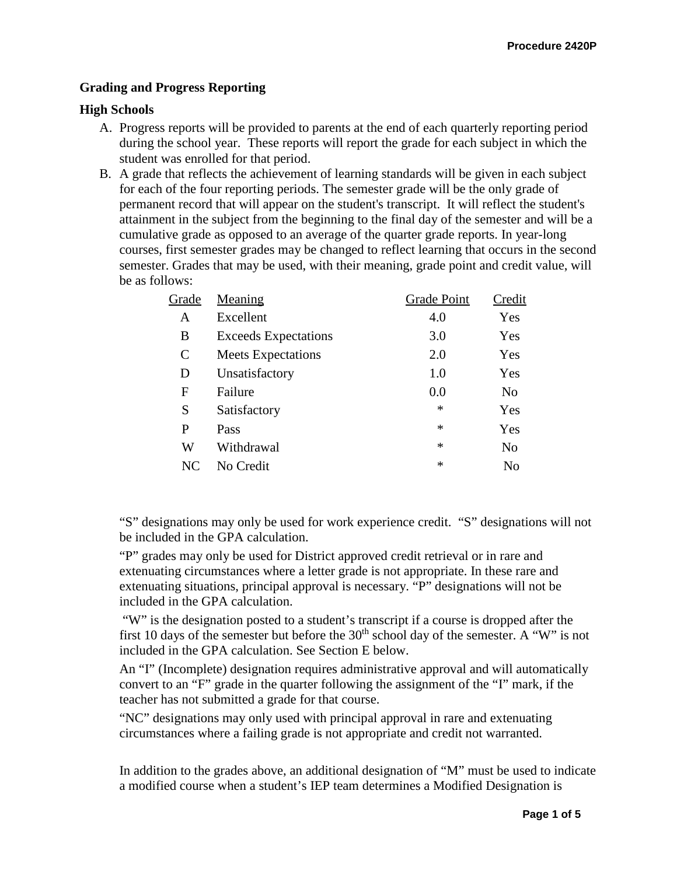## **Grading and Progress Reporting**

## **High Schools**

- A. Progress reports will be provided to parents at the end of each quarterly reporting period during the school year. These reports will report the grade for each subject in which the student was enrolled for that period.
- B. A grade that reflects the achievement of learning standards will be given in each subject for each of the four reporting periods. The semester grade will be the only grade of permanent record that will appear on the student's transcript. It will reflect the student's attainment in the subject from the beginning to the final day of the semester and will be a cumulative grade as opposed to an average of the quarter grade reports. In year-long courses, first semester grades may be changed to reflect learning that occurs in the second semester. Grades that may be used, with their meaning, grade point and credit value, will be as follows:

| Grade         | Meaning                     | Grade Point | Credit |
|---------------|-----------------------------|-------------|--------|
| A             | Excellent                   | 4.0         | Yes    |
| B             | <b>Exceeds Expectations</b> | 3.0         | Yes    |
| $\mathcal{C}$ | <b>Meets Expectations</b>   | 2.0         | Yes    |
| D             | Unsatisfactory              | 1.0         | Yes    |
| F             | Failure                     | 0.0         | No     |
| S             | Satisfactory                | $\ast$      | Yes    |
| P             | Pass                        | $\ast$      | Yes    |
| W             | Withdrawal                  | $\ast$      | No     |
| NC            | No Credit                   | $\ast$      | No     |
|               |                             |             |        |

"S" designations may only be used for work experience credit. "S" designations will not be included in the GPA calculation.

"P" grades may only be used for District approved credit retrieval or in rare and extenuating circumstances where a letter grade is not appropriate. In these rare and extenuating situations, principal approval is necessary. "P" designations will not be included in the GPA calculation.

"W" is the designation posted to a student's transcript if a course is dropped after the first 10 days of the semester but before the  $30<sup>th</sup>$  school day of the semester. A "W" is not included in the GPA calculation. See Section E below.

An "I" (Incomplete) designation requires administrative approval and will automatically convert to an "F" grade in the quarter following the assignment of the "I" mark, if the teacher has not submitted a grade for that course.

"NC" designations may only used with principal approval in rare and extenuating circumstances where a failing grade is not appropriate and credit not warranted.

In addition to the grades above, an additional designation of "M" must be used to indicate a modified course when a student's IEP team determines a Modified Designation is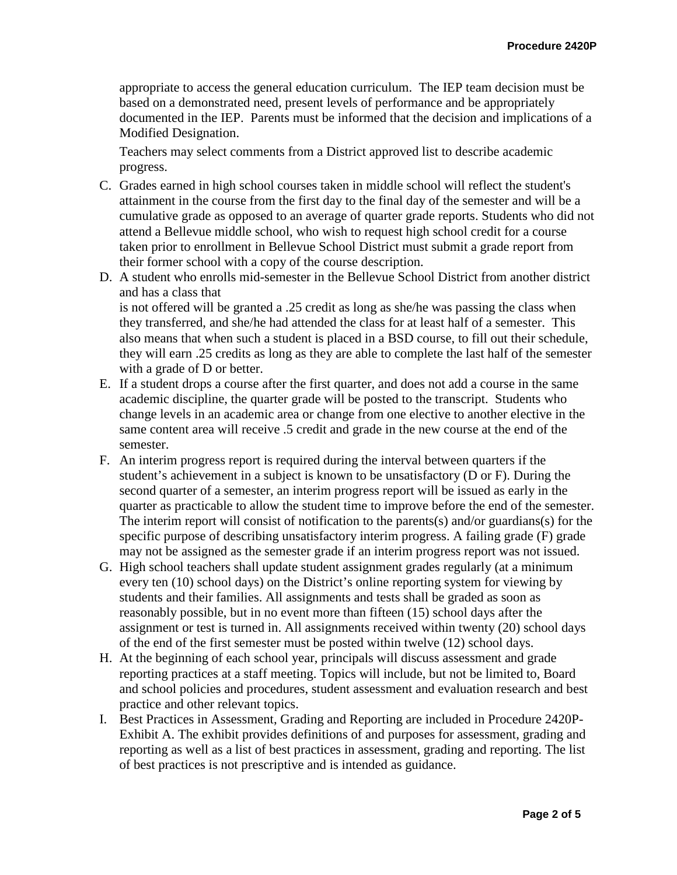appropriate to access the general education curriculum. The IEP team decision must be based on a demonstrated need, present levels of performance and be appropriately documented in the IEP. Parents must be informed that the decision and implications of a Modified Designation.

Teachers may select comments from a District approved list to describe academic progress.

- C. Grades earned in high school courses taken in middle school will reflect the student's attainment in the course from the first day to the final day of the semester and will be a cumulative grade as opposed to an average of quarter grade reports. Students who did not attend a Bellevue middle school, who wish to request high school credit for a course taken prior to enrollment in Bellevue School District must submit a grade report from their former school with a copy of the course description.
- D. A student who enrolls mid-semester in the Bellevue School District from another district and has a class that is not offered will be granted a .25 credit as long as she/he was passing the class when

they transferred, and she/he had attended the class for at least half of a semester. This also means that when such a student is placed in a BSD course, to fill out their schedule, they will earn .25 credits as long as they are able to complete the last half of the semester with a grade of D or better.

- E. If a student drops a course after the first quarter, and does not add a course in the same academic discipline, the quarter grade will be posted to the transcript. Students who change levels in an academic area or change from one elective to another elective in the same content area will receive .5 credit and grade in the new course at the end of the semester.
- F. An interim progress report is required during the interval between quarters if the student's achievement in a subject is known to be unsatisfactory (D or F). During the second quarter of a semester, an interim progress report will be issued as early in the quarter as practicable to allow the student time to improve before the end of the semester. The interim report will consist of notification to the parents(s) and/or guardians(s) for the specific purpose of describing unsatisfactory interim progress. A failing grade (F) grade may not be assigned as the semester grade if an interim progress report was not issued.
- G. High school teachers shall update student assignment grades regularly (at a minimum every ten (10) school days) on the District's online reporting system for viewing by students and their families. All assignments and tests shall be graded as soon as reasonably possible, but in no event more than fifteen (15) school days after the assignment or test is turned in. All assignments received within twenty (20) school days of the end of the first semester must be posted within twelve (12) school days.
- H. At the beginning of each school year, principals will discuss assessment and grade reporting practices at a staff meeting. Topics will include, but not be limited to, Board and school policies and procedures, student assessment and evaluation research and best practice and other relevant topics.
- I. Best Practices in Assessment, Grading and Reporting are included in Procedure 2420P-Exhibit A. The exhibit provides definitions of and purposes for assessment, grading and reporting as well as a list of best practices in assessment, grading and reporting. The list of best practices is not prescriptive and is intended as guidance.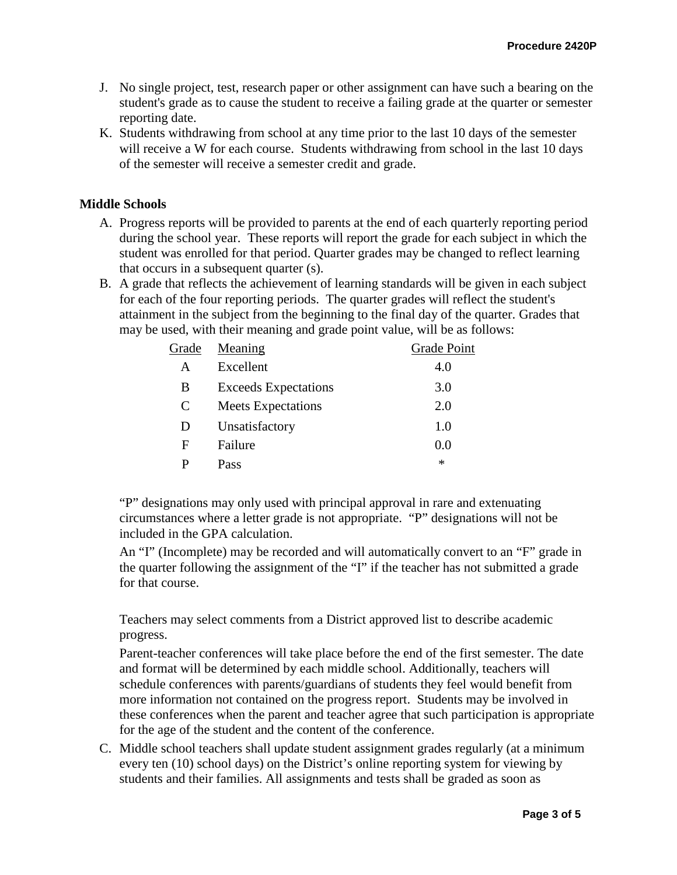- J. No single project, test, research paper or other assignment can have such a bearing on the student's grade as to cause the student to receive a failing grade at the quarter or semester reporting date.
- K. Students withdrawing from school at any time prior to the last 10 days of the semester will receive a W for each course. Students withdrawing from school in the last 10 days of the semester will receive a semester credit and grade.

## **Middle Schools**

- A. Progress reports will be provided to parents at the end of each quarterly reporting period during the school year. These reports will report the grade for each subject in which the student was enrolled for that period. Quarter grades may be changed to reflect learning that occurs in a subsequent quarter (s).
- B. A grade that reflects the achievement of learning standards will be given in each subject for each of the four reporting periods. The quarter grades will reflect the student's attainment in the subject from the beginning to the final day of the quarter. Grades that may be used, with their meaning and grade point value, will be as follows:

| Grade | Meaning                     | <b>Grade Point</b> |
|-------|-----------------------------|--------------------|
| A     | Excellent                   | 4.0                |
| B     | <b>Exceeds Expectations</b> | 3.0                |
| C     | <b>Meets Expectations</b>   | 2.0                |
| D     | Unsatisfactory              | 1.0                |
| F     | Failure                     | 0.0                |
| р     | Pass                        | $\ast$             |

"P" designations may only used with principal approval in rare and extenuating circumstances where a letter grade is not appropriate. "P" designations will not be included in the GPA calculation.

An "I" (Incomplete) may be recorded and will automatically convert to an "F" grade in the quarter following the assignment of the "I" if the teacher has not submitted a grade for that course.

Teachers may select comments from a District approved list to describe academic progress.

Parent-teacher conferences will take place before the end of the first semester. The date and format will be determined by each middle school. Additionally, teachers will schedule conferences with parents/guardians of students they feel would benefit from more information not contained on the progress report. Students may be involved in these conferences when the parent and teacher agree that such participation is appropriate for the age of the student and the content of the conference.

C. Middle school teachers shall update student assignment grades regularly (at a minimum every ten (10) school days) on the District's online reporting system for viewing by students and their families. All assignments and tests shall be graded as soon as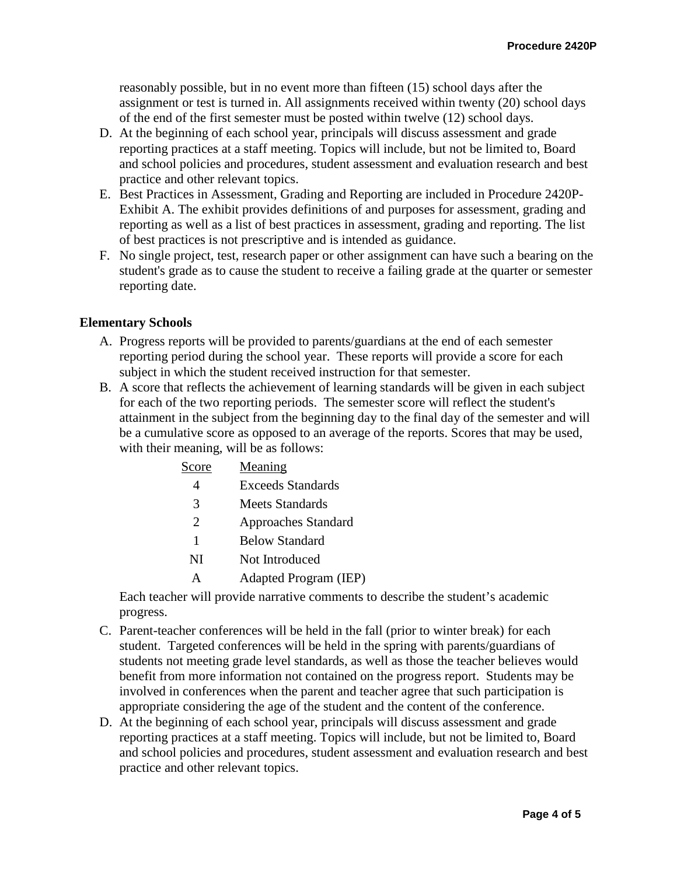reasonably possible, but in no event more than fifteen (15) school days after the assignment or test is turned in. All assignments received within twenty (20) school days of the end of the first semester must be posted within twelve (12) school days.

- D. At the beginning of each school year, principals will discuss assessment and grade reporting practices at a staff meeting. Topics will include, but not be limited to, Board and school policies and procedures, student assessment and evaluation research and best practice and other relevant topics.
- E. Best Practices in Assessment, Grading and Reporting are included in Procedure 2420P-Exhibit A. The exhibit provides definitions of and purposes for assessment, grading and reporting as well as a list of best practices in assessment, grading and reporting. The list of best practices is not prescriptive and is intended as guidance.
- F. No single project, test, research paper or other assignment can have such a bearing on the student's grade as to cause the student to receive a failing grade at the quarter or semester reporting date.

## **Elementary Schools**

- A. Progress reports will be provided to parents/guardians at the end of each semester reporting period during the school year. These reports will provide a score for each subject in which the student received instruction for that semester.
- B. A score that reflects the achievement of learning standards will be given in each subject for each of the two reporting periods. The semester score will reflect the student's attainment in the subject from the beginning day to the final day of the semester and will be a cumulative score as opposed to an average of the reports. Scores that may be used, with their meaning, will be as follows:

| Score                       | Meaning                    |
|-----------------------------|----------------------------|
| 4                           | <b>Exceeds Standards</b>   |
| 3                           | Meets Standards            |
| $\mathcal{D}_{\mathcal{L}}$ | <b>Approaches Standard</b> |
| 1                           | <b>Below Standard</b>      |
|                             |                            |

- NI Not Introduced
- A Adapted Program (IEP)

Each teacher will provide narrative comments to describe the student's academic progress.

- C. Parent-teacher conferences will be held in the fall (prior to winter break) for each student. Targeted conferences will be held in the spring with parents/guardians of students not meeting grade level standards, as well as those the teacher believes would benefit from more information not contained on the progress report. Students may be involved in conferences when the parent and teacher agree that such participation is appropriate considering the age of the student and the content of the conference.
- D. At the beginning of each school year, principals will discuss assessment and grade reporting practices at a staff meeting. Topics will include, but not be limited to, Board and school policies and procedures, student assessment and evaluation research and best practice and other relevant topics.